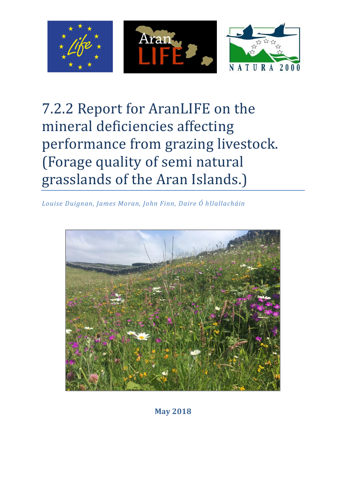

# 7.2.2 Report for AranLIFE on the mineral deficiencies affecting performance from grazing livestock. (Forage quality of semi natural grasslands of the Aran Islands.)

*Louise Duignan, James Moran, John Finn, Daire Ó hUallacháin*



**May 2018**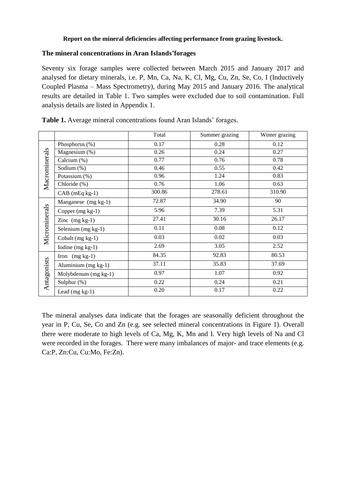#### **Report on the mineral deficiencies affecting performance from grazing livestock.**

#### **The mineral concentrations in Aran Islands'forages**

Seventy six forage samples were collected between March 2015 and January 2017 and analysed for dietary minerals, i.e. P, Mn, Ca, Na, K, Cl, Mg, Cu, Zn, Se, Co, I (Inductively Coupled Plasma – Mass Spectrometry), during May 2015 and January 2016. The analytical results are detailed in Table 1. Two samples were excluded due to soil contamination. Full analysis details are listed in Appendix 1.

|               |                      | Total  | Summer grazing | Winter grazing |
|---------------|----------------------|--------|----------------|----------------|
| Macrominerals | Phosphorus (%)       | 0.17   | 0.28           | 0.12           |
|               | Magnesium (%)        | 0.26   | 0.24           | 0.27           |
|               | Calcium (%)          | 0.77   | 0.76           | 0.78           |
|               | Sodium (%)           | 0.46   | 0.55           | 0.42           |
|               | Potassium (%)        | 0.96   | 1.24           | 0.83           |
|               | Chloride (%)         | 0.76   | 1.06           | 0.63           |
|               | $CAB$ (mEq kg-1)     | 300.86 | 278.61         | 310.90         |
| Microminerals | Manganese (mg kg-1)  | 72.87  | 34.90          | 90             |
|               | Copper (mg kg-1)     | 5.96   | 7.39           | 5.31           |
|               | Zinc $(mg kg-1)$     | 27.41  | 30.16          | 26.17          |
|               | Selenium (mg kg-1)   | 0.11   | 0.08           | 0.12           |
|               | Cobalt (mg kg-1)     | 0.03   | 0.02           | 0.03           |
|               | Iodine $(mg kg-1)$   | 2.69   | 3.05           | 2.52           |
|               | Iron $(mg kg-1)$     | 84.35  | 92.83          | 80.53          |
|               | Aluminium (mg kg-1)  | 37.11  | 35.83          | 37.69          |
| Antagonists   | Molybdenum (mg kg-1) | 0.97   | 1.07           | 0.92           |
|               | Sulphur (%)          | 0.22   | 0.24           | 0.21           |
|               | Lead $(mg kg-1)$     | 0.20   | 0.17           | 0.22           |

**Table 1.** Average mineral concentrations found Aran Islands' forages.

The mineral analyses data indicate that the forages are seasonally deficient throughout the year in P, Cu, Se, Co and Zn (e.g. see selected mineral concentrations in Figure 1). Overall there were moderate to high levels of Ca, Mg, K, Mn and I. Very high levels of Na and Cl were recorded in the forages. There were many imbalances of major- and trace elements (e.g. Ca:P, Zn:Cu, Cu:Mo, Fe:Zn).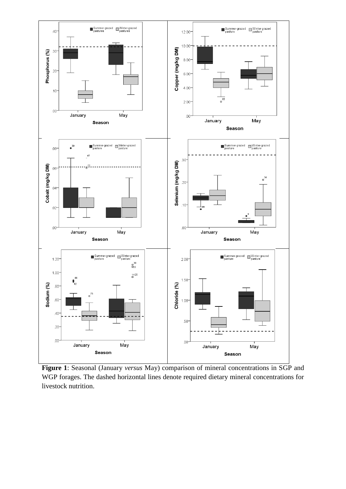

**Figure 1**: Seasonal (January *versus* May) comparison of mineral concentrations in SGP and WGP forages. The dashed horizontal lines denote required dietary mineral concentrations for livestock nutrition.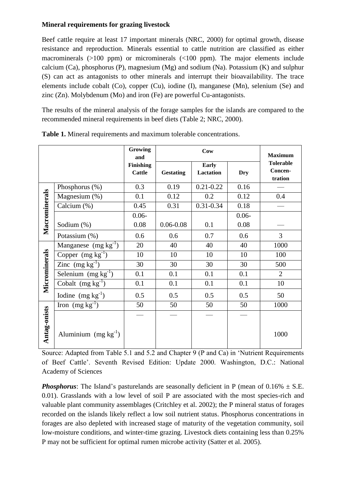### **Mineral requirements for grazing livestock**

Beef cattle require at least 17 important minerals (NRC, 2000) for optimal growth, disease resistance and reproduction. Minerals essential to cattle nutrition are classified as either macrominerals (>100 ppm) or microminerals (<100 ppm). The major elements include calcium (Ca), phosphorus (P), magnesium (Mg) and sodium (Na). Potassium (K) and sulphur (S) can act as antagonists to other minerals and interrupt their bioavailability. The trace elements include cobalt (Co), copper (Cu), iodine (I), manganese (Mn), selenium (Se) and zinc (Zn). Molybdenum (Mo) and iron (Fe) are powerful Cu-antagonists.

The results of the mineral analysis of the forage samples for the islands are compared to the recommended mineral requirements in beef diets (Table 2; NRC, 2000).

|               |                          | <b>Growing</b><br>and             |                  | <b>Maximum</b>            |            |                                        |
|---------------|--------------------------|-----------------------------------|------------------|---------------------------|------------|----------------------------------------|
|               |                          | <b>Finishing</b><br><b>Cattle</b> | <b>Gestating</b> | <b>Early</b><br>Lactation | <b>Dry</b> | <b>Tolerable</b><br>Concen-<br>tration |
|               | Phosphorus (%)           | 0.3                               | 0.19             | $0.21 - 0.22$             | 0.16       |                                        |
|               | Magnesium (%)            | 0.1                               | 0.12             | 0.2                       | 0.12       | 0.4                                    |
|               | Calcium (%)              | 0.45                              | 0.31             | $0.31 - 0.34$             | 0.18       |                                        |
|               |                          | $0.06 -$                          |                  |                           | $0.06 -$   |                                        |
| Macrominerals | Sodium (%)               | 0.08                              | $0.06 - 0.08$    | 0.1                       | 0.08       |                                        |
|               | Potassium (%)            | 0.6                               | 0.6              | 0.7                       | 0.6        | $\overline{3}$                         |
|               | Manganese $(mg kg^{-1})$ | 20                                | 40               | 40                        | 40         | 1000                                   |
|               | Copper $(mg kg^{-1})$    | 10                                | 10               | 10                        | 10         | 100                                    |
|               | Zinc $(mg kg^{-1})$      | 30                                | 30               | 30                        | 30         | 500                                    |
|               | Selenium $(mg kg-1)$     | 0.1                               | 0.1              | 0.1                       | 0.1        | $\overline{2}$                         |
| Microminerals | Cobalt $(mg kg^{-1})$    | 0.1                               | 0.1              | 0.1                       | 0.1        | 10                                     |
|               | Iodine $(mg kg^{-1})$    | 0.5                               | 0.5              | 0.5                       | 0.5        | 50                                     |
|               | Iron $(mg kg^{-1})$      | 50                                | 50               | 50                        | 50         | 1000                                   |
| Antag-onists  | Aluminium $(mg kg^{-1})$ |                                   |                  |                           |            | 1000                                   |

| Table 1. Mineral requirements and maximum tolerable concentrations. |  |  |  |  |  |
|---------------------------------------------------------------------|--|--|--|--|--|
|---------------------------------------------------------------------|--|--|--|--|--|

Source: Adapted from Table 5.1 and 5.2 and Chapter 9 (P and Ca) in 'Nutrient Requirements of Beef Cattle'. Seventh Revised Edition: Update 2000. Washington, D.C.: National Academy of Sciences

**Phosphorus**: The Island's pasturelands are seasonally deficient in P (mean of  $0.16\% \pm S.E$ . 0.01). Grasslands with a low level of soil P are associated with the most species-rich and valuable plant community assemblages (Critchley et al. 2002); the P mineral status of forages recorded on the islands likely reflect a low soil nutrient status. Phosphorus concentrations in forages are also depleted with increased stage of maturity of the vegetation community, soil low-moisture conditions, and winter-time grazing. Livestock diets containing less than 0.25% P may not be sufficient for optimal rumen microbe activity (Satter et al. 2005).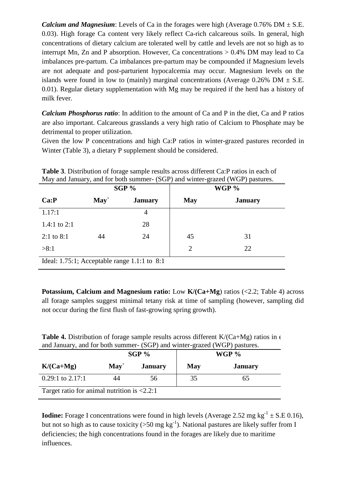*Calcium and Magnesium*: Levels of Ca in the forages were high (Average  $0.76\%$  DM  $\pm$  S.E. 0.03). High forage Ca content very likely reflect Ca-rich calcareous soils. In general, high concentrations of dietary calcium are tolerated well by cattle and levels are not so high as to interrupt Mn, Zn and P absorption. However, Ca concentrations  $> 0.4\%$  DM may lead to Ca imbalances pre-partum. Ca imbalances pre-partum may be compounded if Magnesium levels are not adequate and post-parturient hypocalcemia may occur. Magnesium levels on the islands were found in low to (mainly) marginal concentrations (Average  $0.26\%$  DM  $\pm$  S.E. 0.01). Regular dietary supplementation with Mg may be required if the herd has a history of milk fever.

*Calcium Phosphorus ratio*: In addition to the amount of Ca and P in the diet, Ca and P ratios are also important. Calcareous grasslands a very high ratio of Calcium to Phosphate may be detrimental to proper utilization.

Given the low P concentrations and high Ca:P ratios in winter-grazed pastures recorded in Winter (Table 3), a dietary P supplement should be considered.

|                              |      | $SGP\%$                                      | WGP %      |                |  |  |
|------------------------------|------|----------------------------------------------|------------|----------------|--|--|
| Ca:P                         | May` | <b>January</b>                               | <b>May</b> | <b>January</b> |  |  |
| 1.17:1                       |      | 4                                            |            |                |  |  |
| 1.4:1 to 2:1                 |      | 28                                           |            |                |  |  |
| $2:1$ to 8:1                 | 44   | 24                                           | 45         | 31             |  |  |
| >8:1<br>$\overline{2}$<br>22 |      |                                              |            |                |  |  |
|                              |      | Ideal: 1.75:1; Acceptable range 1.1:1 to 8:1 |            |                |  |  |

**Table 3**. Distribution of forage sample results across different Ca:P ratios in each of May and January, and for both summer- (SGP) and winter-grazed (WGP) pastures.

**Potassium, Calcium and Magnesium ratio:** Low **K/(Ca+Mg)** ratios (<2.2; Table 4) across all forage samples suggest minimal tetany risk at time of sampling (however, sampling did not occur during the first flush of fast-growing spring growth).

| <b>Table 4.</b> Distribution of forage sample results across different $K/(Ca+Mg)$ ratios in $\epsilon$ |  |
|---------------------------------------------------------------------------------------------------------|--|
| and January, and for both summer- (SGP) and winter-grazed (WGP) pastures.                               |  |

|                                                              |      | $SGP\%$        | ັ          | WGP $\%$       |  |  |  |
|--------------------------------------------------------------|------|----------------|------------|----------------|--|--|--|
| $K/(Ca+Mg)$                                                  | May` | <b>January</b> | <b>May</b> | <b>January</b> |  |  |  |
| $0.29:1$ to $2.17:1$                                         | 44   | 56             | 35         | 65             |  |  |  |
| Target ratio for animal nutrition is $\langle 2.2:1 \rangle$ |      |                |            |                |  |  |  |

**Iodine:** Forage I concentrations were found in high levels (Average 2.52 mg  $kg^{-1} \pm S.E$  0.16), but not so high as to cause toxicity ( $>50$  mg kg<sup>-1</sup>). National pastures are likely suffer from I deficiencies; the high concentrations found in the forages are likely due to maritime influences.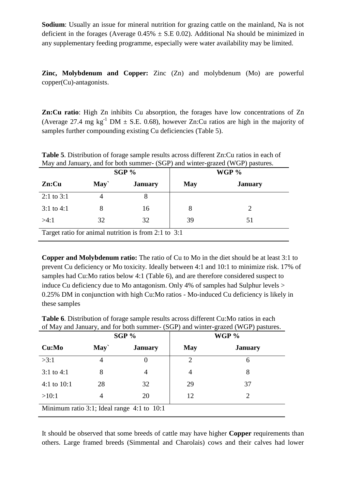**Sodium**: Usually an issue for mineral nutrition for grazing cattle on the mainland, Na is not deficient in the forages (Average  $0.45\% \pm$  S.E 0.02). Additional Na should be minimized in any supplementary feeding programme, especially were water availability may be limited.

**Zinc, Molybdenum and Copper:** Zinc (Zn) and molybdenum (Mo) are powerful copper(Cu)-antagonists.

**Zn:Cu ratio**: High Zn inhibits Cu absorption, the forages have low concentrations of Zn (Average 27.4 mg kg<sup>-1</sup> DM  $\pm$  S.E. 0.68), however Zn:Cu ratios are high in the majority of samples further compounding existing Cu deficiencies (Table 5).

|                                                      |      | $SGP\%$        | WGP %      |                |  |  |  |  |
|------------------------------------------------------|------|----------------|------------|----------------|--|--|--|--|
| $\mathbf{Zn:}$ Cu                                    | May` | <b>January</b> | <b>May</b> | <b>January</b> |  |  |  |  |
| $2:1$ to $3:1$                                       |      |                |            |                |  |  |  |  |
| $3:1$ to 4:1                                         |      | 16             | 8          |                |  |  |  |  |
| >4:1                                                 | 32   | 32             | 39         | 51             |  |  |  |  |
| Target ratio for animal nutrition is from 2:1 to 3:1 |      |                |            |                |  |  |  |  |

**Table 5**. Distribution of forage sample results across different Zn:Cu ratios in each of May and January, and for both summer- (SGP) and winter-grazed (WGP) pastures.

**Copper and Molybdenum ratio:** The ratio of Cu to Mo in the diet should be at least 3:1 to prevent Cu deficiency or Mo toxicity. Ideally between 4:1 and 10:1 to minimize risk. 17% of samples had Cu:Mo ratios below 4:1 (Table 6), and are therefore considered suspect to induce Cu deficiency due to Mo antagonism. Only 4% of samples had Sulphur levels > 0.25% DM in conjunction with high Cu:Mo ratios - Mo-induced Cu deficiency is likely in these samples

|                                            |      | SGP %          |                | WGP %          |  |  |
|--------------------------------------------|------|----------------|----------------|----------------|--|--|
| Cu:Mo                                      | May` | <b>January</b> | <b>May</b>     | <b>January</b> |  |  |
| >3:1                                       | 4    | $\theta$       | $\overline{2}$ | 6              |  |  |
| $3:1$ to 4:1                               | 8    | 4              | 4              | 8              |  |  |
| 4:1 to $10:1$                              | 28   | 32             | 29             | 37             |  |  |
| >10:1                                      | 4    | 20             | 12             |                |  |  |
| Minimum ratio 3:1; Ideal range 4:1 to 10:1 |      |                |                |                |  |  |

**Table 6**. Distribution of forage sample results across different Cu:Mo ratios in each of May and January, and for both summer- (SGP) and winter-grazed (WGP) pastures.

It should be observed that some breeds of cattle may have higher **Copper** requirements than others. Large framed breeds (Simmental and Charolais) cows and their calves had lower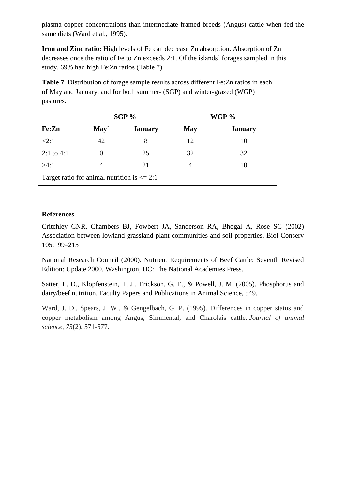plasma copper concentrations than intermediate-framed breeds (Angus) cattle when fed the same diets (Ward et al., 1995).

**Iron and Zinc ratio:** High levels of Fe can decrease Zn absorption. Absorption of Zn decreases once the ratio of Fe to Zn exceeds 2:1. Of the islands' forages sampled in this study, 69% had high Fe:Zn ratios (Table 7).

**Table 7**. Distribution of forage sample results across different Fe:Zn ratios in each of May and January, and for both summer- (SGP) and winter-grazed (WGP) pastures.

|                                                 |      | $SGP\%$        |            | WGP %          |  |  |
|-------------------------------------------------|------|----------------|------------|----------------|--|--|
| Fe:Zn                                           | May` | <b>January</b> | <b>May</b> | <b>January</b> |  |  |
| <2:1                                            | 42   |                | 12.        | 10             |  |  |
| 2:1 to 4:1                                      |      | 25             | 32         | 32             |  |  |
| >4:1                                            |      | 21             |            | 10             |  |  |
| Target ratio for animal nutrition is $\leq$ 2:1 |      |                |            |                |  |  |

## **References**

Critchley CNR, Chambers BJ, Fowbert JA, Sanderson RA, Bhogal A, Rose SC (2002) Association between lowland grassland plant communities and soil properties. Biol Conserv 105:199–215

National Research Council (2000). Nutrient Requirements of Beef Cattle: Seventh Revised Edition: Update 2000. Washington, DC: The National Academies Press.

Satter, L. D., Klopfenstein, T. J., Erickson, G. E., & Powell, J. M. (2005). Phosphorus and dairy/beef nutrition. Faculty Papers and Publications in Animal Science, 549.

Ward, J. D., Spears, J. W., & Gengelbach, G. P. (1995). Differences in copper status and copper metabolism among Angus, Simmental, and Charolais cattle. *Journal of animal science*, *73*(2), 571-577.